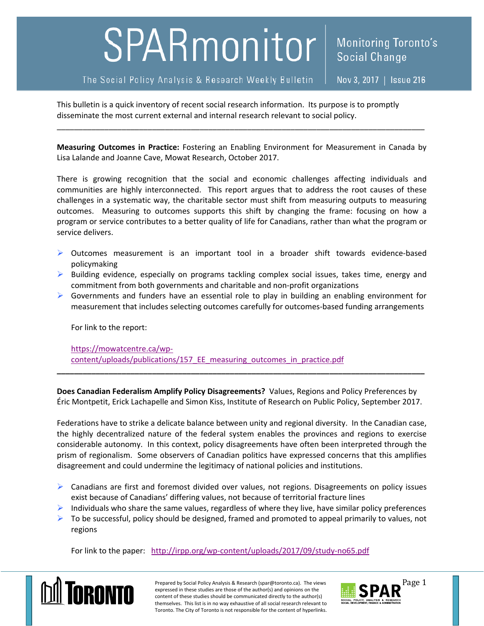## SPARmonitor

The Social Policy Analysis & Research Weekly Bulletin

Social Change

Monitoring Toronto's

This bulletin is a quick inventory of recent social research information. Its purpose is to promptly disseminate the most current external and internal research relevant to social policy.

**Measuring Outcomes in Practice:**  Fostering an Enabling Environment for Measurement in Canada by Lisa Lalande and Joanne Cave, Mowat Research, October 2017.

\_\_\_\_\_\_\_\_\_\_\_\_\_\_\_\_\_\_\_\_\_\_\_\_\_\_\_\_\_\_\_\_\_\_\_\_\_\_\_\_\_\_\_\_\_\_\_\_\_\_\_\_\_\_\_\_\_\_\_\_\_\_\_\_\_\_\_\_\_\_\_\_\_\_\_\_\_\_\_\_\_\_\_\_\_

There is growing recognition that the social and economic challenges affecting individuals and communities are highly interconnected. This report argues that to address the root causes of these challenges in a systematic way, the charitable sector must shift from measuring outputs to measuring outcomes. Measuring to outcomes supports this shift by changing the frame: focusing on how a program or service contributes to a better quality of life for Canadians, rather than what the program or service delivers.

- ▶ Outcomes measurement is an important tool in a broader shift towards evidence-based policymaking
- $\triangleright$  Building evidence, especially on programs tackling complex social issues, takes time, energy and commitment from both governments and charitable and non‐profit organizations
- $\triangleright$  Governments and funders have an essential role to play in building an enabling environment for measurement that includes selecting outcomes carefully for outcomes‐based funding arrangements

For link to the report:

https://mowatcentre.ca/wp‐ content/uploads/publications/157\_EE\_measuring\_outcomes\_in\_practice.pdf

**Does Canadian Federalism Amplify Policy Disagreements?** Values, Regions and Policy Preferences by Éric Montpetit, Erick Lachapelle and Simon Kiss, Institute of Research on Public Policy, September 2017.

**\_\_\_\_\_\_\_\_\_\_\_\_\_\_\_\_\_\_\_\_\_\_\_\_\_\_\_\_\_\_\_\_\_\_\_\_\_\_\_\_\_\_\_\_\_\_\_\_\_\_\_\_\_\_\_\_\_\_\_\_\_\_\_\_\_\_\_\_\_\_\_\_\_\_\_\_\_\_\_\_\_\_\_\_\_** 

Federations have to strike a delicate balance between unity and regional diversity. In the Canadian case, the highly decentralized nature of the federal system enables the provinces and regions to exercise considerable autonomy. In this context, policy disagreements have often been interpreted through the prism of regionalism. Some observers of Canadian politics have expressed concerns that this amplifies disagreement and could undermine the legitimacy of national policies and institutions.

- $\triangleright$  Canadians are first and foremost divided over values, not regions. Disagreements on policy issues exist because of Canadians' differing values, not because of territorial fracture lines
- $\triangleright$  Individuals who share the same values, regardless of where they live, have similar policy preferences
- $\triangleright$  To be successful, policy should be designed, framed and promoted to appeal primarily to values, not regions

For link to the paper: http://irpp.org/wp-content/uploads/2017/09/study-no65.pdf



Prepared by Social Policy Analysis & Research (spar@toronto.ca). The views exact **Spare 1**<br>expressed in these studies are those of the author(s) and opinions on the **SPAR**  $\overline{\text{Page 1}}$ expressed in these studies are those of the author(s) and opinions on the content of these studies should be communicated directly to the author(s) themselves. This list is in no way exhaustive of all social research relevant to Toronto. The City of Toronto is not responsible for the content of hyperlinks.

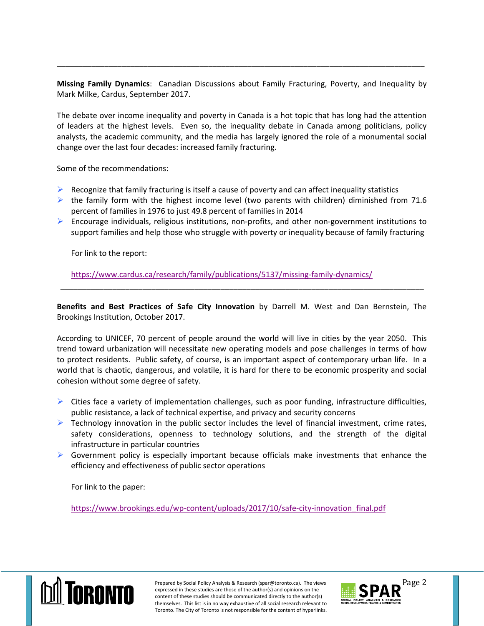**Missing Family Dynamics**: Canadian Discussions about Family Fracturing, Poverty, and Inequality by Mark Milke, Cardus, September 2017.

\_\_\_\_\_\_\_\_\_\_\_\_\_\_\_\_\_\_\_\_\_\_\_\_\_\_\_\_\_\_\_\_\_\_\_\_\_\_\_\_\_\_\_\_\_\_\_\_\_\_\_\_\_\_\_\_\_\_\_\_\_\_\_\_\_\_\_\_\_\_\_\_\_\_\_\_\_\_\_\_\_\_\_\_\_

The debate over income inequality and poverty in Canada is a hot topic that has long had the attention of leaders at the highest levels. Even so, the inequality debate in Canada among politicians, policy analysts, the academic community, and the media has largely ignored the role of a monumental social change over the last four decades: increased family fracturing.

Some of the recommendations:

- $\triangleright$  Recognize that family fracturing is itself a cause of poverty and can affect inequality statistics
- $\triangleright$  the family form with the highest income level (two parents with children) diminished from 71.6 percent of families in 1976 to just 49.8 percent of families in 2014
- Encourage individuals, religious institutions, non‐profits, and other non‐government institutions to support families and help those who struggle with poverty or inequality because of family fracturing

For link to the report:

https://www.cardus.ca/research/family/publications/5137/missing‐family‐dynamics/

**Benefits and Best Practices of Safe City Innovation** by Darrell M. West and Dan Bernstein, The Brookings Institution, October 2017.

\_\_\_\_\_\_\_\_\_\_\_\_\_\_\_\_\_\_\_\_\_\_\_\_\_\_\_\_\_\_\_\_\_\_\_\_\_\_\_\_\_\_\_\_\_\_\_\_\_\_\_\_\_\_\_\_\_\_\_\_\_\_\_\_\_\_\_\_\_\_\_\_\_\_\_\_\_\_\_\_\_\_\_\_

According to UNICEF, 70 percent of people around the world will live in cities by the year 2050. This trend toward urbanization will necessitate new operating models and pose challenges in terms of how to protect residents. Public safety, of course, is an important aspect of contemporary urban life. In a world that is chaotic, dangerous, and volatile, it is hard for there to be economic prosperity and social cohesion without some degree of safety.

- $\triangleright$  Cities face a variety of implementation challenges, such as poor funding, infrastructure difficulties, public resistance, a lack of technical expertise, and privacy and security concerns
- $\triangleright$  Technology innovation in the public sector includes the level of financial investment, crime rates, safety considerations, openness to technology solutions, and the strength of the digital infrastructure in particular countries
- $\triangleright$  Government policy is especially important because officials make investments that enhance the efficiency and effectiveness of public sector operations

For link to the paper:

https://www.brookings.edu/wp-content/uploads/2017/10/safe-city-innovation\_final.pdf



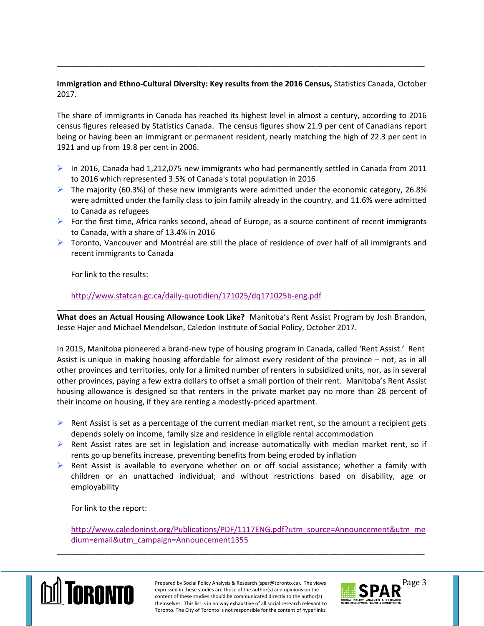## **Immigration and Ethno‐Cultural Diversity: Key results from the 2016 Census,** Statistics Canada, October 2017.

\_\_\_\_\_\_\_\_\_\_\_\_\_\_\_\_\_\_\_\_\_\_\_\_\_\_\_\_\_\_\_\_\_\_\_\_\_\_\_\_\_\_\_\_\_\_\_\_\_\_\_\_\_\_\_\_\_\_\_\_\_\_\_\_\_\_\_\_\_\_\_\_\_\_\_\_\_\_\_\_\_\_\_\_\_

The share of immigrants in Canada has reached its highest level in almost a century, according to 2016 census figures released by Statistics Canada. The census figures show 21.9 per cent of Canadians report being or having been an immigrant or permanent resident, nearly matching the high of 22.3 per cent in 1921 and up from 19.8 per cent in 2006.

- In 2016, Canada had 1,212,075 new immigrants who had permanently settled in Canada from 2011 to 2016 which represented 3.5% of Canada's total population in 2016
- $\triangleright$  The majority (60.3%) of these new immigrants were admitted under the economic category, 26.8% were admitted under the family class to join family already in the country, and 11.6% were admitted to Canada as refugees
- For the first time, Africa ranks second, ahead of Europe, as a source continent of recent immigrants to Canada, with a share of 13.4% in 2016
- $\triangleright$  Toronto, Vancouver and Montréal are still the place of residence of over half of all immigrants and recent immigrants to Canada

For link to the results:

## http://www.statcan.gc.ca/daily‐quotidien/171025/dq171025b‐eng.pdf

\_\_\_\_\_\_\_\_\_\_\_\_\_\_\_\_\_\_\_\_\_\_\_\_\_\_\_\_\_\_\_\_\_\_\_\_\_\_\_\_\_\_\_\_\_\_\_\_\_\_\_\_\_\_\_\_\_\_\_\_\_\_\_\_\_\_\_\_\_\_\_\_\_\_\_\_\_\_\_\_\_\_\_\_\_ **What does an Actual Housing Allowance Look Like?** Manitoba's Rent Assist Program by Josh Brandon, Jesse Hajer and Michael Mendelson, Caledon Institute of Social Policy, October 2017.

In 2015, Manitoba pioneered a brand‐new type of housing program in Canada, called 'Rent Assist.' Rent Assist is unique in making housing affordable for almost every resident of the province – not, as in all other provinces and territories, only for a limited number of renters in subsidized units, nor, as in several other provinces, paying a few extra dollars to offset a small portion of their rent. Manitoba's Rent Assist housing allowance is designed so that renters in the private market pay no more than 28 percent of their income on housing, if they are renting a modestly‐priced apartment.

- $\triangleright$  Rent Assist is set as a percentage of the current median market rent, so the amount a recipient gets depends solely on income, family size and residence in eligible rental accommodation
- $\triangleright$  Rent Assist rates are set in legislation and increase automatically with median market rent, so if rents go up benefits increase, preventing benefits from being eroded by inflation
- $\triangleright$  Rent Assist is available to everyone whether on or off social assistance; whether a family with children or an unattached individual; and without restrictions based on disability, age or employability

For link to the report:

http://www.caledoninst.org/Publications/PDF/1117ENG.pdf?utm\_source=Announcement&utm\_me dium=email&utm\_campaign=Announcement1355



Prepared by Social Policy Analysis & Research (spar@toronto.ca). The views expansion the expansion of the sexted is the views content of these studies are those of the author(s) and opinions on the **SPAR**  $\sum_{\text{cortent of the set studies should be$ expressed in these studies are those of the author(s) and opinions on the content of these studies should be communicated directly to the author(s) themselves. This list is in no way exhaustive of all social research relevant to Toronto. The City of Toronto is not responsible for the content of hyperlinks.

\_\_\_\_\_\_\_\_\_\_\_\_\_\_\_\_\_\_\_\_\_\_\_\_\_\_\_\_\_\_\_\_\_\_\_\_\_\_\_\_\_\_\_\_\_\_\_\_\_\_\_\_\_\_\_\_\_\_\_\_\_\_\_\_\_\_\_\_\_\_\_\_\_\_\_\_\_\_\_\_\_\_\_\_\_